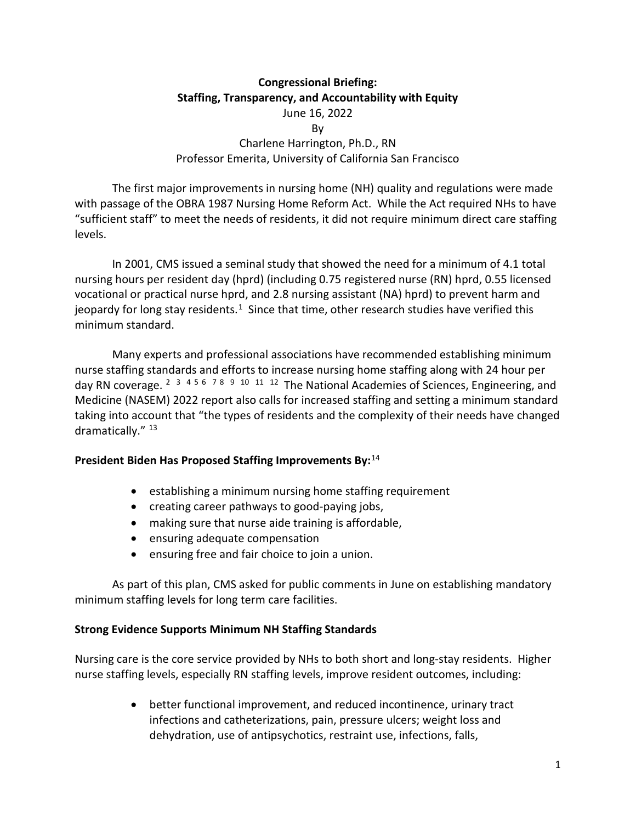# **Congressional Briefing: Staffing, Transparency, and Accountability with Equity** June 16, 2022 By Charlene Harrington, Ph.D., RN Professor Emerita, University of California San Francisco

The first major improvements in nursing home (NH) quality and regulations were made with passage of the OBRA 1987 Nursing Home Reform Act. While the Act required NHs to have "sufficient staff" to meet the needs of residents, it did not require minimum direct care staffing levels.

In 2001, CMS issued a seminal study that showed the need for a minimum of 4.1 total nursing hours per resident day (hprd) (including 0.75 registered nurse (RN) hprd, 0.55 licensed vocational or practical nurse hprd, and 2.8 nursing assistant (NA) hprd) to prevent harm and jeopardy for long stay residents.<sup>1</sup> Since that time, other research studies have verified this minimum standard.

Many experts and professional associations have recommended establishing minimum nurse staffing standards and efforts to increase nursing home staffing along with 24 hour per day RN coverage. <sup>[2](#page-4-1) [3](#page-4-2) [4](#page-4-3) [5](#page-4-4) [6](#page-4-5) [7](#page-4-6) [8](#page-4-7) [9](#page-4-8) [10](#page-4-9) [11](#page-4-10) [12](#page-4-11)</sup> The National Academies of Sciences, Engineering, and Medicine (NASEM) 2022 report also calls for increased staffing and setting a minimum standard taking into account that "the types of residents and the complexity of their needs have changed dramatically." 13

# **President Biden Has Proposed Staffing Improvements By:** [14](#page-4-13)

- establishing a minimum nursing home staffing requirement
- creating career pathways to good-paying jobs,
- making sure that nurse aide training is affordable,
- ensuring adequate compensation
- ensuring free and fair choice to join a union.

As part of this plan, CMS asked for public comments in June on establishing mandatory minimum staffing levels for long term care facilities.

#### **Strong Evidence Supports Minimum NH Staffing Standards**

Nursing care is the core service provided by NHs to both short and long-stay residents. Higher nurse staffing levels, especially RN staffing levels, improve resident outcomes, including:

> • better functional improvement, and reduced incontinence, urinary tract infections and catheterizations, pain, pressure ulcers; weight loss and dehydration, use of antipsychotics, restraint use, infections, falls,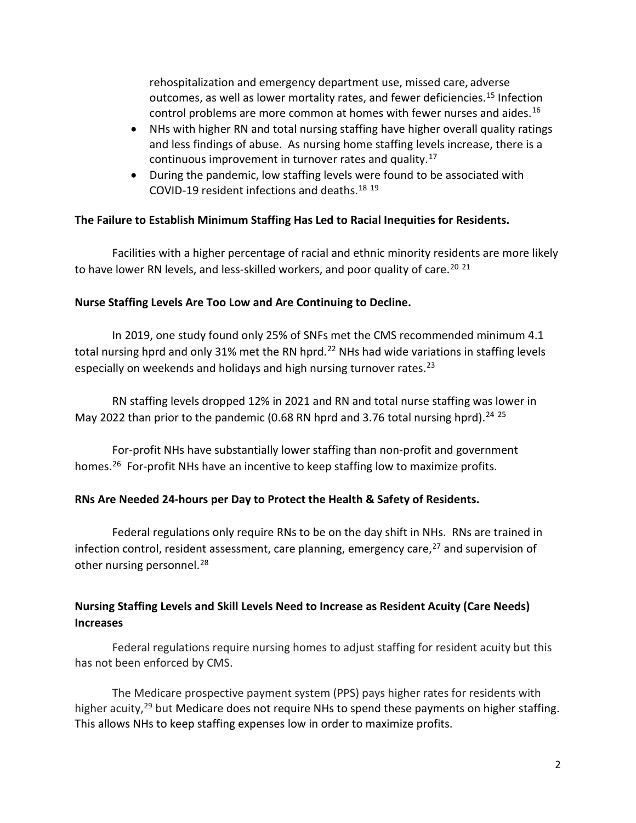rehospitalization and emergency department use, missed care, adverse outcomes, as well as lower mortality rates, and fewer deficiencies.<sup>15</sup> Infection control problems are more common at homes with fewer nurses and aides.[16](#page-4-15)

- NHs with higher RN and total nursing staffing have higher overall quality ratings and less findings of abuse. As nursing home staffing levels increase, there is a continuous improvement in turnover rates and quality.[17](#page-4-16)
- During the pandemic, low staffing levels were found to be associated with COVID-19 resident infections and deaths.[18](#page-5-0) [19](#page-5-1)

# **The Failure to Establish Minimum Staffing Has Led to Racial Inequities for Residents.**

Facilities with a higher percentage of racial and ethnic minority residents are more likely to have lower RN levels, and less-skilled workers, and poor quality of care.<sup>[20](#page-5-2) [21](#page-5-3)</sup>

# **Nurse Staffing Levels Are Too Low and Are Continuing to Decline.**

In 2019, one study found only 25% of SNFs met the CMS recommended minimum 4.1 total nursing hprd and only 31% met the RN hprd.<sup>[22](#page-5-4)</sup> NHs had wide variations in staffing levels especially on weekends and holidays and high nursing turnover rates.<sup>[23](#page-5-5)</sup>

RN staffing levels dropped 12% in 2021 and RN and total nurse staffing was lower in May 2022 than prior to the pandemic (0.68 RN hprd and 3.76 total nursing hprd).<sup>[24](#page-5-6) [25](#page-5-7)</sup>

For-profit NHs have substantially lower staffing than non-profit and government homes.<sup>26</sup> For-profit NHs have an incentive to keep staffing low to maximize profits.

# **RNs Are Needed 24-hours per Day to Protect the Health & Safety of Residents.**

Federal regulations only require RNs to be on the day shift in NHs. RNs are trained in infection control, resident assessment, care planning, emergency care, [27](#page-5-9) and supervision of other nursing personnel.<sup>[28](#page-5-10)</sup>

# **Nursing Staffing Levels and Skill Levels Need to Increase as Resident Acuity (Care Needs) Increases**

Federal regulations require nursing homes to adjust staffing for resident acuity but this has not been enforced by CMS.

The Medicare prospective payment system (PPS) pays higher rates for residents with higher acuity,<sup>[29](#page-5-11)</sup> but Medicare does not require NHs to spend these payments on higher staffing. This allows NHs to keep staffing expenses low in order to maximize profits.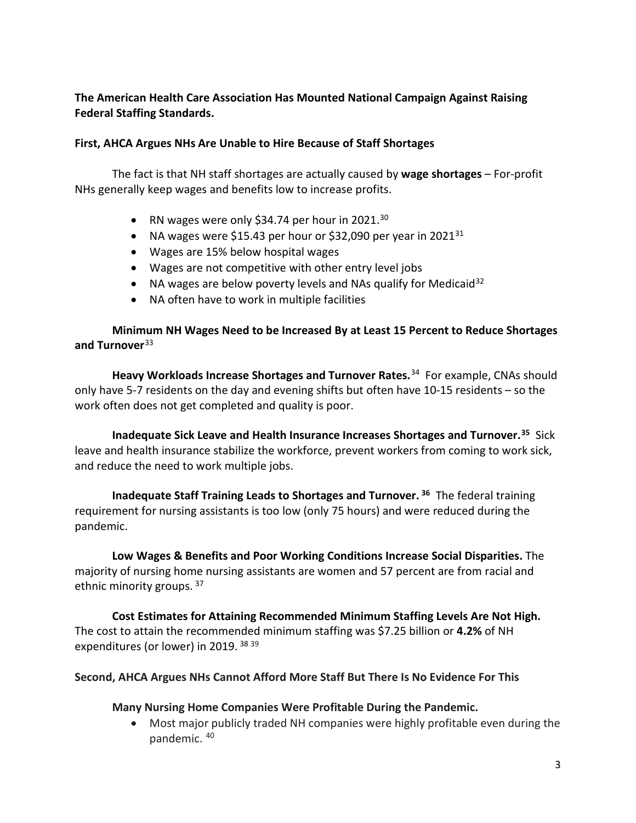## **The American Health Care Association Has Mounted National Campaign Against Raising Federal Staffing Standards.**

#### **First, AHCA Argues NHs Are Unable to Hire Because of Staff Shortages**

The fact is that NH staff shortages are actually caused by **wage shortages** – For-profit NHs generally keep wages and benefits low to increase profits.

- RN wages were only \$34.74 per hour in 2021.<sup>[30](#page-5-12)</sup>
- NA wages were \$15.43 per hour or \$32,090 per year in 2021<sup>31</sup>
- Wages are 15% below hospital wages
- Wages are not competitive with other entry level jobs
- NA wages are below poverty levels and NAs qualify for Medicaid<sup>[32](#page-5-14)</sup>
- NA often have to work in multiple facilities

## **Minimum NH Wages Need to be Increased By at Least 15 Percent to Reduce Shortages and Turnover**[33](#page-5-15)

**Heavy Workloads Increase Shortages and Turnover Rates.**[34](#page-5-16) For example, CNAs should only have 5-7 residents on the day and evening shifts but often have 10-15 residents – so the work often does not get completed and quality is poor.

**Inadequate Sick Leave and Health Insurance Increases Shortages and Turnover.[35](#page-5-17)** Sick leave and health insurance stabilize the workforce, prevent workers from coming to work sick, and reduce the need to work multiple jobs.

**Inadequate Staff Training Leads to Shortages and Turnover. [36](#page-5-18)** The federal training requirement for nursing assistants is too low (only 75 hours) and were reduced during the pandemic.

**Low Wages & Benefits and Poor Working Conditions Increase Social Disparities.** The majority of nursing home nursing assistants are women and 57 percent are from racial and ethnic minority groups. [37](#page-5-19)

**Cost Estimates for Attaining Recommended Minimum Staffing Levels Are Not High.**  The cost to attain the recommended minimum staffing was \$7.25 billion or **4.2%** of NH expenditures (or lower) in 2019. [38](#page-5-20) [39](#page-5-21)

#### **Second, AHCA Argues NHs Cannot Afford More Staff But There Is No Evidence For This**

#### **Many Nursing Home Companies Were Profitable During the Pandemic.**

• Most major publicly traded NH companies were highly profitable even during the pandemic. [40](#page-6-0)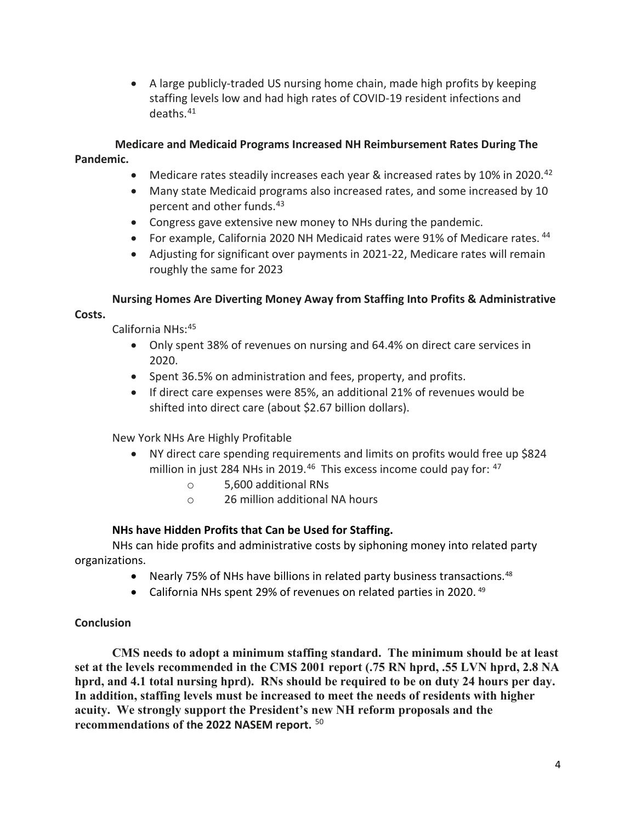• A large publicly-traded US nursing home chain, made high profits by keeping staffing levels low and had high rates of COVID-19 resident infections and deaths.[41](#page-6-1) 

## **Medicare and Medicaid Programs Increased NH Reimbursement Rates During The Pandemic.**

- Medicare rates steadily increases each year & increased rates by 10% in 2020.<sup>[42](#page-6-2)</sup>
- Many state Medicaid programs also increased rates, and some increased by 10 percent and other funds.[43](#page-6-3)
- Congress gave extensive new money to NHs during the pandemic.
- For example, California 2020 NH Medicaid rates were 91% of Medicare rates. <sup>[44](#page-6-4)</sup>
- Adjusting for significant over payments in 2021-22, Medicare rates will remain roughly the same for 2023

# **Nursing Homes Are Diverting Money Away from Staffing Into Profits & Administrative**

#### **Costs.**

California NHs: [45](#page-6-5)

- Only spent 38% of revenues on nursing and 64.4% on direct care services in 2020.
- Spent 36.5% on administration and fees, property, and profits.
- If direct care expenses were 85%, an additional 21% of revenues would be shifted into direct care (about \$2.67 billion dollars).

New York NHs Are Highly Profitable

- NY direct care spending requirements and limits on profits would free up \$824 million in just 284 NHs in 2019.<sup>[46](#page-6-6)</sup> This excess income could pay for:  $47$ 
	- o 5,600 additional RNs
	- o 26 million additional NA hours

## **NHs have Hidden Profits that Can be Used for Staffing.**

NHs can hide profits and administrative costs by siphoning money into related party organizations.

- Nearly 75% of NHs have billions in related party business transactions.<sup>48</sup>
- California NHs spent 29% of revenues on related parties in 2020.<sup>49</sup>

## **Conclusion**

**CMS needs to adopt a minimum staffing standard. The minimum should be at least set at the levels recommended in the CMS 2001 report (.75 RN hprd, .55 LVN hprd, 2.8 NA hprd, and 4.1 total nursing hprd). RNs should be required to be on duty 24 hours per day. In addition, staffing levels must be increased to meet the needs of residents with higher acuity. We strongly support the President's new NH reform proposals and the recommendations of the 2022 NASEM report.** [50](#page-6-10)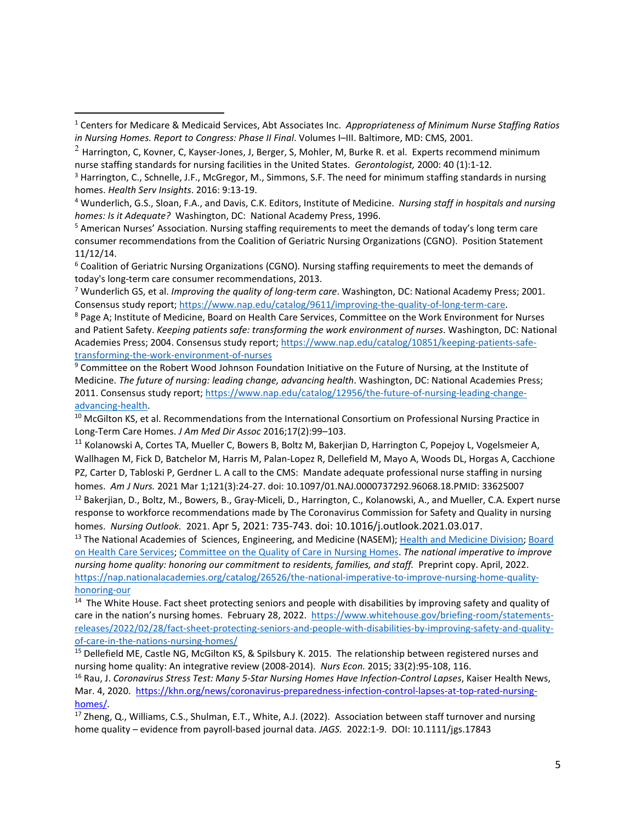<span id="page-4-4"></span><sup>5</sup> American Nurses' Association. Nursing staffing requirements to meet the demands of today's long term care consumer recommendations from the Coalition of Geriatric Nursing Organizations (CGNO). Position Statement 11/12/14.

<span id="page-4-5"></span><sup>6</sup> Coalition of Geriatric Nursing Organizations (CGNO). Nursing staffing requirements to meet the demands of

<span id="page-4-6"></span>today's long-term care consumer recommendations, 2013.<br><sup>7</sup> Wunderlich GS, et al. *Improving the quality of long-term care*. Washington, DC: National Academy Press; 2001. Consensus study report; https://www.nap.edu/catalog/9611/improving-the-quality-of-long-term-care.

<span id="page-4-7"></span><sup>8</sup> Page A; Institute of Medicine, Board on Health Care Services, Committee on the Work Environment for Nurses and Patient Safety. *Keeping patients safe: transforming the work environment of nurses*. Washington, DC: National Academies Press; 2004. Consensus study report; https://www.nap.edu/catalog/10851/keeping-patients-safetransforming-the-work-environment-of-nurses

<span id="page-4-8"></span><sup>9</sup> Committee on the Robert Wood Johnson Foundation Initiative on the Future of Nursing, at the Institute of Medicine. *The future of nursing: leading change, advancing health*. Washington, DC: National Academies Press; 2011. Consensus study report; https://www.nap.edu/catalog/12956/the-future-of-nursing-leading-changeadvancing-health.

<span id="page-4-9"></span><sup>10</sup> McGilton KS, et al. Recommendations from the International Consortium on Professional Nursing Practice in Long-Term Care Homes. *J Am Med Dir Assoc* 2016;17(2):99–103.

<span id="page-4-10"></span><sup>11</sup> Kolanowski A, Cortes TA, Mueller C, Bowers B, Boltz M, Bakerjian D, Harrington C, Popejoy L, Vogelsmeier A, Wallhagen M, Fick D, Batchelor M, Harris M, Palan-Lopez R, Dellefield M, Mayo A, Woods DL, Horgas A, Cacchione PZ, Carter D, Tabloski P, Gerdner L. A call to the CMS: Mandate adequate professional nurse staffing in nursing homes. *Am J Nurs.* 2021 Mar 1;121(3):24-27. doi: 10.1097/01.NAJ.0000737292.96068.18.PMID: 33625007

<span id="page-4-11"></span><sup>12</sup> Bakerjian, D., Boltz, M., Bowers, B., Gray-Miceli, D., Harrington, C., Kolanowski, A., and Mueller, C.A. Expert nurse response to workforce recommendations made by The Coronavirus Commission for Safety and Quality in nursing homes. *Nursing Outlook.* 2021. Apr 5, 2021: 735-743. doi: 10.1016/j.outlook.2021.03.017.<br><sup>13</sup> The National Academies of Sciences, Engineering, and Medicine (NASEM); Health and Medicine Division; Board

<span id="page-4-12"></span>on Health Care Services; Committee on the Quality of Care in Nursing Homes. *The national imperative to improve nursing home quality: honoring our commitment to residents, families, and staff.* Preprint copy. April, 2022. https://nap.nationalacademies.org/catalog/26526/the-national-imperative-to-improve-nursing-home-qualityhonoring-our

<span id="page-4-13"></span><sup>14</sup> The White House. Fact sheet protecting seniors and people with disabilities by improving safety and quality of care in the nation's nursing homes. February 28, 2022. https://www.whitehouse.gov/briefing-room/statementsreleases/2022/02/28/fact-sheet-protecting-seniors-and-people-with-disabilities-by-improving-safety-and-qualityof-care-in-the-nations-nursing-homes/

<span id="page-4-14"></span><sup>15</sup> Dellefield ME, Castle NG, McGilton KS, & Spilsbury K. 2015. The relationship between registered nurses and nursing home quality: An integrative review (2008-2014). *Nurs Econ.* 2015; 33(2):95-108, 116.

<span id="page-4-15"></span><sup>16</sup> Rau, J. *Coronavirus Stress Test: Many 5-Star Nursing Homes Have Infection-Control Lapses*, Kaiser Health News, Mar. 4, 2020. https://khn.org/news/coronavirus-preparedness-infection-control-lapses-at-top-rated-nursinghomes/.<br><sup>17</sup> Zheng, Q., Williams, C.S., Shulman, E.T., White, A.J. (2022). Association between staff turnover and nursing

<span id="page-4-16"></span>home quality – evidence from payroll-based journal data. *JAGS.* 2022:1-9. DOI: 10.1111/jgs.17843

<span id="page-4-0"></span><sup>1</sup> Centers for Medicare & Medicaid Services, Abt Associates Inc. *Appropriateness of Minimum Nurse Staffing Ratios in Nursing Homes. Report to Congress: Phase II Final*. Volumes I–III. Baltimore, MD: CMS, 2001.

<span id="page-4-1"></span> $^{2}$  Harrington, C, Kovner, C, Kayser-Jones, J, Berger, S, Mohler, M, Burke R. et al. Experts recommend minimum nurse staffing standards for nursing facilities in the United States. *Gerontologist,* 2000: 40 (1):1-12.

<span id="page-4-2"></span><sup>&</sup>lt;sup>3</sup> Harrington, C., Schnelle, J.F., McGregor, M., Simmons, S.F. The need for minimum staffing standards in nursing homes. *Health Serv Insights*. 2016: 9:13-19.

<span id="page-4-3"></span><sup>4</sup> Wunderlich, G.S., Sloan, F.A., and Davis, C.K. Editors, Institute of Medicine. *Nursing staff in hospitals and nursing homes: Is it Adequate?* Washington, DC: National Academy Press, 1996.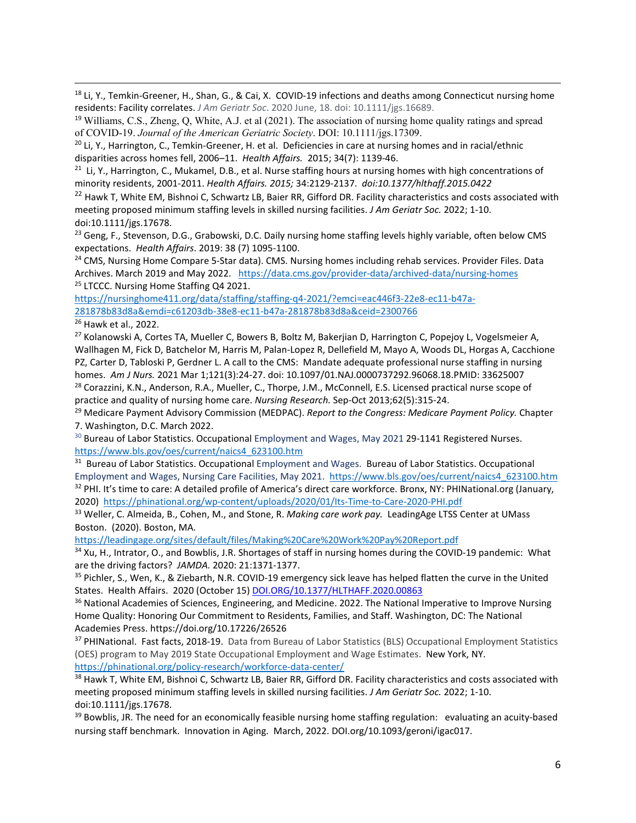<span id="page-5-0"></span><sup>18</sup> Li, Y., Temkin-Greener, H., Shan, G., & Cai, X. COVID-19 infections and deaths among Connecticut nursing home residents: Facility correlates. *J Am Geriatr Soc*. 2020 June, 18. doi: 10.1111/jgs.16689.

<span id="page-5-1"></span><sup>19</sup> Williams, C.S., Zheng, Q, White, A.J. et al (2021). The association of nursing home quality ratings and spread of COVID-19. *Journal of the American Geriatric Society*. DOI: 10.1111/jgs.17309.

<span id="page-5-2"></span><sup>20</sup> Li, Y., Harrington, C., Temkin-Greener, H. et al. Deficiencies in care at nursing homes and in racial/ethnic disparities across homes fell, 2006–11. *Health Affairs.* 2015; 34(7): 1139-46.

<span id="page-5-3"></span> $21$  Li, Y., Harrington, C., Mukamel, D.B., et al. Nurse staffing hours at nursing homes with high concentrations of minority residents, 2001-2011. *Health Affairs. 2015;* 34:2129-2137. *doi:10.1377/hlthaff.2015.0422*

<span id="page-5-4"></span> $22$  Hawk T, White EM, Bishnoi C, Schwartz LB, Baier RR, Gifford DR. Facility characteristics and costs associated with meeting proposed minimum staffing levels in skilled nursing facilities. *J Am Geriatr Soc.* 2022; 1-10. doi:10.1111/jgs.17678.

<span id="page-5-5"></span><sup>23</sup> Geng, F., Stevenson, D.G., Grabowski, D.C. Daily nursing home staffing levels highly variable, often below CMS expectations. *Health Affairs*. 2019: 38 (7) 1095-1100.

<span id="page-5-6"></span><sup>24</sup> CMS, Nursing Home Compare 5-Star data). CMS. Nursing homes including rehab services. Provider Files. Data Archives. March 2019 and May 2022. https://data.cms.gov/provider-data/archived-data/nursing-homes <sup>25</sup> LTCCC. Nursing Home Staffing Q4 2021.

<span id="page-5-7"></span>https://nursinghome411.org/data/staffing/staffing-q4-2021/?emci=eac446f3-22e8-ec11-b47a-281878b83d8a&emdi=c61203db-38e8-ec11-b47a-281878b83d8a&ceid=2300766

<span id="page-5-8"></span><sup>26</sup> Hawk et al., 2022.

<span id="page-5-9"></span><sup>27</sup> Kolanowski A, Cortes TA, Mueller C, Bowers B, Boltz M, Bakerjian D, Harrington C, Popejoy L, Vogelsmeier A, Wallhagen M, Fick D, Batchelor M, Harris M, Palan-Lopez R, Dellefield M, Mayo A, Woods DL, Horgas A, Cacchione PZ, Carter D, Tabloski P, Gerdner L. A call to the CMS: Mandate adequate professional nurse staffing in nursing homes. *Am J Nurs.* 2021 Mar 1;121(3):24-27. doi: 10.1097/01.NAJ.0000737292.96068.18.PMID: 33625007

<span id="page-5-10"></span><sup>28</sup> Corazzini, K.N., Anderson, R.A., Mueller, C., Thorpe, J.M., McConnell, E.S. Licensed practical nurse scope of practice and quality of nursing home care. *Nursing Research.* Sep-Oct 2013;62(5):315-24.

<span id="page-5-11"></span><sup>29</sup> Medicare Payment Advisory Commission (MEDPAC). *Report to the Congress: Medicare Payment Policy.* Chapter 7. Washington, D.C. March 2022.

<span id="page-5-12"></span><sup>30</sup> Bureau of Labor Statistics. Occupational Employment and Wages, May 2021 29-1141 Registered Nurses. https://www.bls.gov/oes/current/naics4\_623100.htm

<span id="page-5-14"></span><span id="page-5-13"></span><sup>31</sup> Bureau of Labor Statistics. Occupational Employment and Wages. Bureau of Labor Statistics. Occupational Employment and Wages, Nursing Care Facilities, May 2021. https://www.bls.gov/oes/current/naics4\_623100.htm <sup>32</sup> PHI. It's time to care: A detailed profile of America's direct care workforce. Bronx, NY: PHINational.org (January, 2020) https://phinational.org/wp-content/uploads/2020/01/Its-Time-to-Care-2020-PHI.pdf

<span id="page-5-15"></span><sup>33</sup> Weller, C. Almeida, B., Cohen, M., and Stone, R. *Making care work pay.* LeadingAge LTSS Center at UMass Boston. (2020). Boston, MA.

https://leadingage.org/sites/default/files/Making%20Care%20Work%20Pay%20Report.pdf

<span id="page-5-16"></span>34 Xu, H., Intrator, O., and Bowblis, J.R. Shortages of staff in nursing homes during the COVID-19 pandemic: What are the driving factors? JAMDA. 2020: 21:1371-1377.<br><sup>35</sup> Pichler, S., Wen, K., & Ziebarth, N.R. COVID-19 emergency sick leave has helped flatten the curve in the United

<span id="page-5-17"></span>States. Health Affairs. 2020 (October 15) DOI.ORG/10.1377/HLTHAFF.2020.00863

<span id="page-5-18"></span><sup>36</sup> National Academies of Sciences, Engineering, and Medicine. 2022. The National Imperative to Improve Nursing Home Quality: Honoring Our Commitment to Residents, Families, and Staff. Washington, DC: The National Academies Press. https://doi.org/10.17226/26526

<span id="page-5-19"></span><sup>37</sup> PHINational. Fast facts, 2018-19. Data from Bureau of Labor Statistics (BLS) Occupational Employment Statistics (OES) program to May 2019 State Occupational Employment and Wage Estimates. New York, NY. https://phinational.org/policy-research/workforce-data-center/

<span id="page-5-20"></span>38 Hawk T, White EM, Bishnoi C, Schwartz LB, Baier RR, Gifford DR. Facility characteristics and costs associated with meeting proposed minimum staffing levels in skilled nursing facilities. *J Am Geriatr Soc.* 2022; 1-10. doi:10.1111/jgs.17678.

<span id="page-5-21"></span> $39$  Bowblis, JR. The need for an economically feasible nursing home staffing regulation: evaluating an acuity-based nursing staff benchmark. Innovation in Aging. March, 2022. DOI.org/10.1093/geroni/igac017.